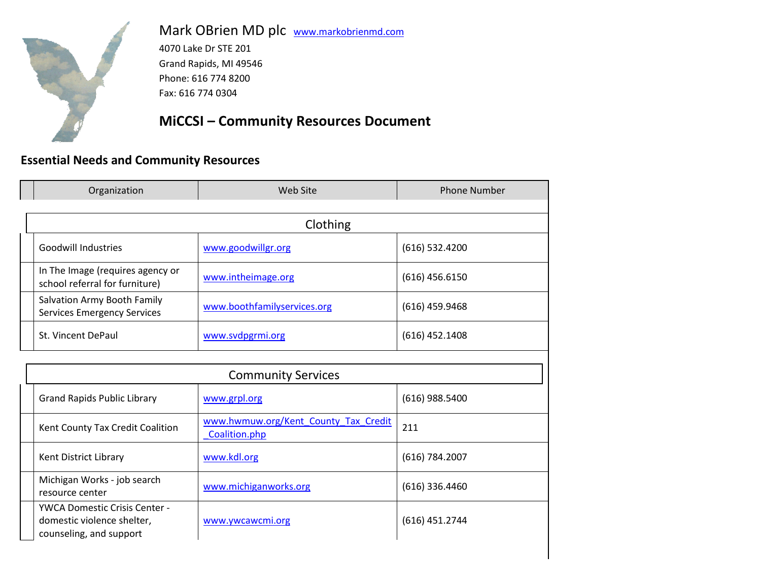

Michigan Works - job search

YWCA Domestic Crisis Center domestic violence shelter, counseling, and support

resource center

Mark OBrien MD plc [www.markobrienmd.com](http://www.markobrienmd.com/)

4070 Lake Dr STE 201 Grand Rapids, MI 49546 Phone: 616 774 8200 Fax: 616 774 0304

#### **MiCCSI – Community Resources Document**

#### **Essential Needs and Community Resources**

| Organization                                                       | Web Site                                              | <b>Phone Number</b> |
|--------------------------------------------------------------------|-------------------------------------------------------|---------------------|
|                                                                    | Clothing                                              |                     |
| <b>Goodwill Industries</b>                                         | www.goodwillgr.org                                    | $(616)$ 532.4200    |
| In The Image (requires agency or<br>school referral for furniture) | www.intheimage.org                                    | $(616)$ 456.6150    |
| Salvation Army Booth Family<br><b>Services Emergency Services</b>  | www.boothfamilyservices.org                           | $(616)$ 459.9468    |
| St. Vincent DePaul                                                 | www.svdpgrmi.org                                      | $(616)$ 452.1408    |
|                                                                    |                                                       |                     |
|                                                                    | <b>Community Services</b>                             |                     |
| <b>Grand Rapids Public Library</b>                                 | www.grpl.org                                          | $(616)$ 988.5400    |
| Kent County Tax Credit Coalition                                   | www.hwmuw.org/Kent County Tax Credit<br>Coalition.php | 211                 |
| Kent District Library                                              | www.kdl.org                                           | (616) 784.2007      |

[www.michiganworks.org](http://www.michiganworks.org/) (616) 336.4460

[www.ywcawcmi.org](http://www.ywcawcmi.org/) (616) 451.2744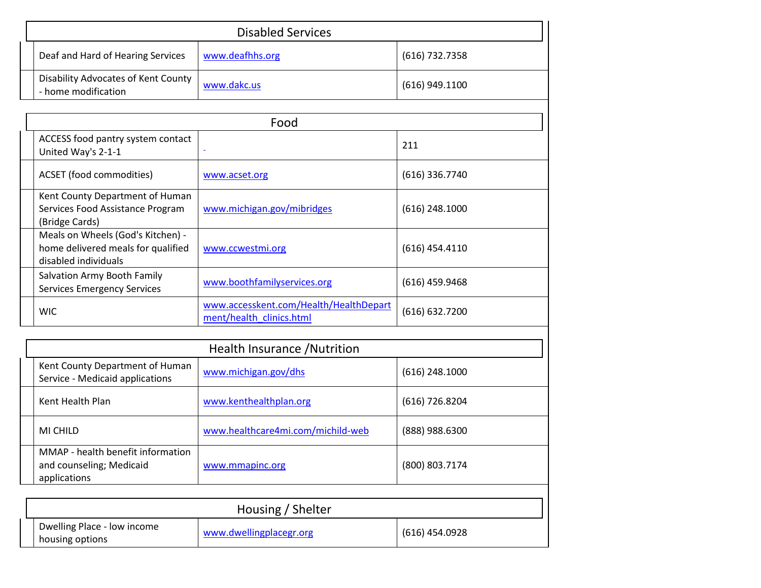| <b>Disabled Services</b>                                                                        |                                                                    |                  |
|-------------------------------------------------------------------------------------------------|--------------------------------------------------------------------|------------------|
| Deaf and Hard of Hearing Services                                                               | www.deafhhs.org                                                    | (616) 732.7358   |
| Disability Advocates of Kent County<br>- home modification                                      | www.dakc.us                                                        | $(616)$ 949.1100 |
|                                                                                                 | Food                                                               |                  |
| ACCESS food pantry system contact<br>United Way's 2-1-1                                         |                                                                    | 211              |
| <b>ACSET</b> (food commodities)                                                                 | www.acset.org                                                      | $(616)$ 336.7740 |
| Kent County Department of Human<br>Services Food Assistance Program<br>(Bridge Cards)           | www.michigan.gov/mibridges                                         | $(616)$ 248.1000 |
| Meals on Wheels (God's Kitchen) -<br>home delivered meals for qualified<br>disabled individuals | www.ccwestmi.org                                                   | $(616)$ 454.4110 |
| Salvation Army Booth Family<br><b>Services Emergency Services</b>                               | www.boothfamilyservices.org                                        | $(616)$ 459.9468 |
| <b>WIC</b>                                                                                      | www.accesskent.com/Health/HealthDepart<br>ment/health clinics.html | (616) 632.7200   |

| Health Insurance / Nutrition                                                  |                                   |                  |  |
|-------------------------------------------------------------------------------|-----------------------------------|------------------|--|
| Kent County Department of Human<br>Service - Medicaid applications            | www.michigan.gov/dhs              | $(616)$ 248.1000 |  |
| Kent Health Plan                                                              | www.kenthealthplan.org            | (616) 726.8204   |  |
| MI CHILD                                                                      | www.healthcare4mi.com/michild-web | (888) 988.6300   |  |
| MMAP - health benefit information<br>and counseling; Medicaid<br>applications | www.mmapinc.org                   | (800) 803.7174   |  |
| Housing / Shelter                                                             |                                   |                  |  |

| <b>INVASILIE / JULICILEI</b>                   |                         |                |
|------------------------------------------------|-------------------------|----------------|
| Dwelling Place - low income<br>housing options | www.dwellingplacegr.org | (616) 454.0928 |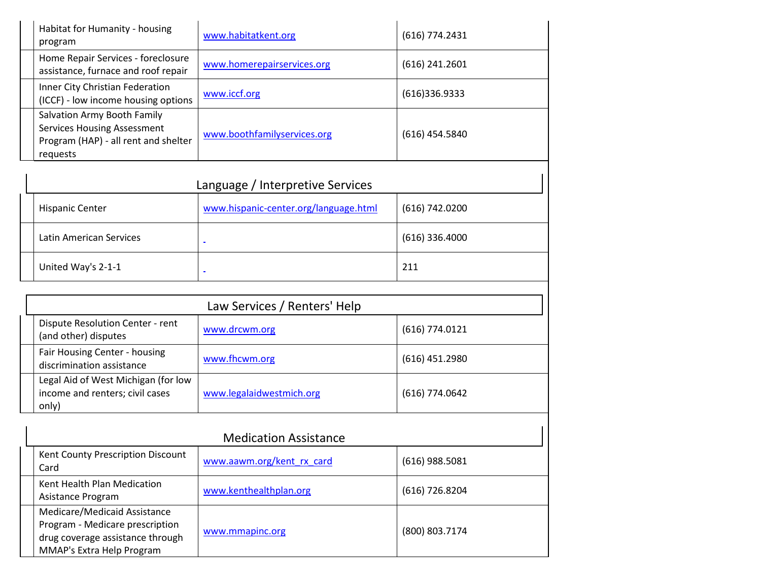| Habitat for Humanity - housing<br>program                                                                                    | www.habitatkent.org         | $(616)$ 774.2431 |
|------------------------------------------------------------------------------------------------------------------------------|-----------------------------|------------------|
| Home Repair Services - foreclosure<br>assistance, furnace and roof repair                                                    | www.homerepairservices.org  | $(616)$ 241.2601 |
| Inner City Christian Federation<br>(ICCF) - low income housing options                                                       | www.iccf.org                | (616)336.9333    |
| <b>Salvation Army Booth Family</b><br><b>Services Housing Assessment</b><br>Program (HAP) - all rent and shelter<br>requests | www.boothfamilyservices.org | $(616)$ 454.5840 |

| Language / Interpretive Services |                                       |                  |
|----------------------------------|---------------------------------------|------------------|
| <b>Hispanic Center</b>           | www.hispanic-center.org/language.html | (616) 742.0200   |
| Latin American Services          | $\blacksquare$                        | $(616)$ 336.4000 |
| United Way's 2-1-1               | $\equiv$                              | 211              |

| Law Services / Renters' Help                                                    |                          |                  |
|---------------------------------------------------------------------------------|--------------------------|------------------|
| Dispute Resolution Center - rent<br>(and other) disputes                        | www.drcwm.org            | $(616)$ 774.0121 |
| Fair Housing Center - housing<br>discrimination assistance                      | www.fhcwm.org            | $(616)$ 451.2980 |
| Legal Aid of West Michigan (for low<br>income and renters; civil cases<br>only) | www.legalaidwestmich.org | $(616)$ 774.0642 |

| <b>Medication Assistance</b>                                                                                                     |                           |                  |
|----------------------------------------------------------------------------------------------------------------------------------|---------------------------|------------------|
| Kent County Prescription Discount<br>Card                                                                                        | www.aawm.org/kent rx card | $(616)$ 988.5081 |
| Kent Health Plan Medication<br>Asistance Program                                                                                 | www.kenthealthplan.org    | $(616)$ 726.8204 |
| Medicare/Medicaid Assistance<br>Program - Medicare prescription<br>drug coverage assistance through<br>MMAP's Extra Help Program | www.mmapinc.org           | (800) 803.7174   |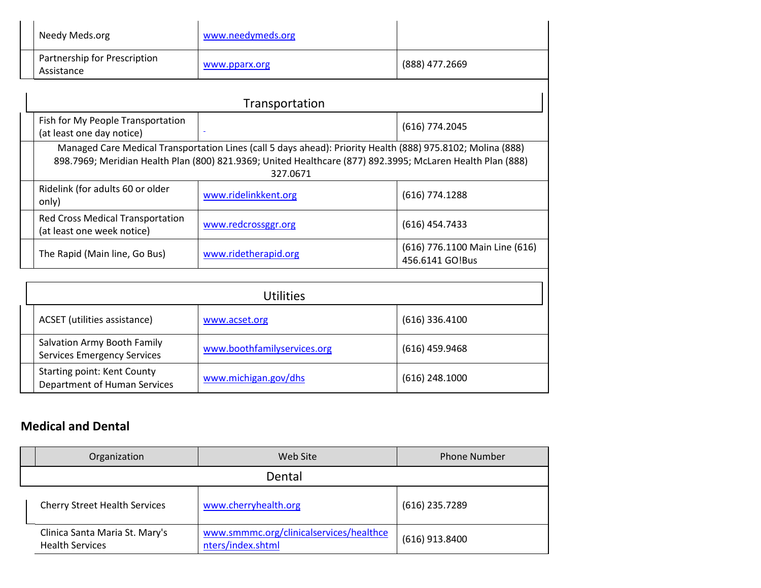|                                                                                                                                                                                                                                       | Needy Meds.org                                                 | www.needymeds.org    |                  |
|---------------------------------------------------------------------------------------------------------------------------------------------------------------------------------------------------------------------------------------|----------------------------------------------------------------|----------------------|------------------|
|                                                                                                                                                                                                                                       | Partnership for Prescription<br>Assistance                     | www.pparx.org        | (888) 477.2669   |
|                                                                                                                                                                                                                                       |                                                                | Transportation       |                  |
|                                                                                                                                                                                                                                       | Fish for My People Transportation<br>(at least one day notice) | $\equiv$             | $(616)$ 774.2045 |
| Managed Care Medical Transportation Lines (call 5 days ahead): Priority Health (888) 975.8102; Molina (888)<br>898.7969; Meridian Health Plan (800) 821.9369; United Healthcare (877) 892.3995; McLaren Health Plan (888)<br>327.0671 |                                                                |                      |                  |
|                                                                                                                                                                                                                                       | Ridelink (for adults 60 or older<br>only)                      | www.ridelinkkent.org | $(616)$ 774.1288 |

|  | <b>Red Cross Medical Transportation</b><br>(at least one week notice) | www.redcrossggr.org  | (616) 454.7433                                    |
|--|-----------------------------------------------------------------------|----------------------|---------------------------------------------------|
|  | The Rapid (Main line, Go Bus)                                         | www.ridetherapid.org | (616) 776.1100 Main Line (616)<br>456.6141 GO!Bus |
|  |                                                                       |                      |                                                   |

| Utilities                                                          |                             |                  |
|--------------------------------------------------------------------|-----------------------------|------------------|
| ACSET (utilities assistance)                                       | www.acset.org               | $(616)$ 336.4100 |
| Salvation Army Booth Family<br><b>Services Emergency Services</b>  | www.boothfamilyservices.org | $(616)$ 459.9468 |
| <b>Starting point: Kent County</b><br>Department of Human Services | www.michigan.gov/dhs        | $(616)$ 248.1000 |

## **Medical and Dental**

| Organization                                             | Web Site                                                     | <b>Phone Number</b> |
|----------------------------------------------------------|--------------------------------------------------------------|---------------------|
|                                                          |                                                              |                     |
| <b>Cherry Street Health Services</b>                     | www.cherryhealth.org                                         | $(616)$ 235.7289    |
| Clinica Santa Maria St. Mary's<br><b>Health Services</b> | www.smmmc.org/clinicalservices/healthce<br>nters/index.shtml | $(616)$ 913.8400    |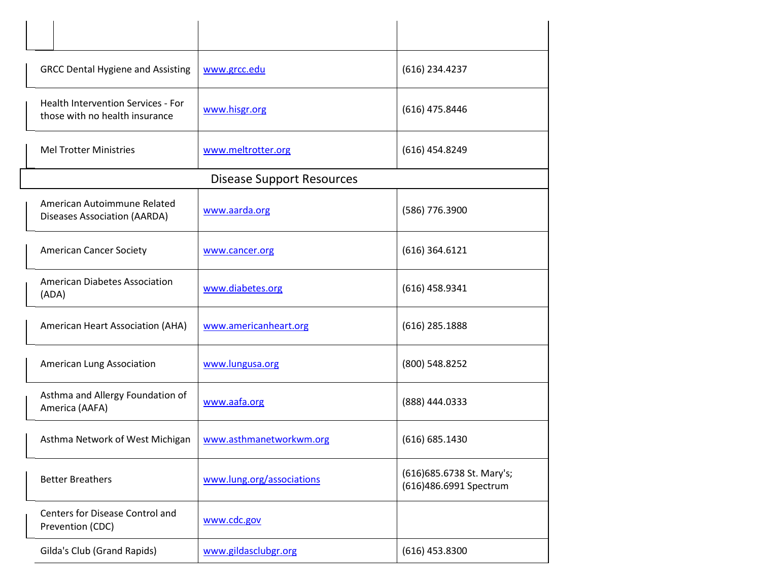| <b>GRCC Dental Hygiene and Assisting</b>                                    | www.grcc.edu                     | (616) 234.4237                                      |
|-----------------------------------------------------------------------------|----------------------------------|-----------------------------------------------------|
| <b>Health Intervention Services - For</b><br>those with no health insurance | www.hisgr.org                    | $(616)$ 475.8446                                    |
| <b>Mel Trotter Ministries</b>                                               | www.meltrotter.org               | $(616)$ 454.8249                                    |
|                                                                             | <b>Disease Support Resources</b> |                                                     |
| American Autoimmune Related<br>Diseases Association (AARDA)                 | www.aarda.org                    | (586) 776.3900                                      |
| <b>American Cancer Society</b>                                              | www.cancer.org                   | $(616)$ 364.6121                                    |
| <b>American Diabetes Association</b><br>(ADA)                               | www.diabetes.org                 | $(616)$ 458.9341                                    |
| American Heart Association (AHA)                                            | www.americanheart.org            | $(616)$ 285.1888                                    |
| American Lung Association                                                   | www.lungusa.org                  | (800) 548.8252                                      |
| Asthma and Allergy Foundation of<br>America (AAFA)                          | www.aafa.org                     | (888) 444.0333                                      |
| Asthma Network of West Michigan                                             | www.asthmanetworkwm.org          | (616) 685.1430                                      |
| <b>Better Breathers</b>                                                     | www.lung.org/associations        | (616)685.6738 St. Mary's;<br>(616)486.6991 Spectrum |
| Centers for Disease Control and<br>Prevention (CDC)                         | www.cdc.gov                      |                                                     |
| Gilda's Club (Grand Rapids)                                                 | www.gildasclubgr.org             | $(616)$ 453.8300                                    |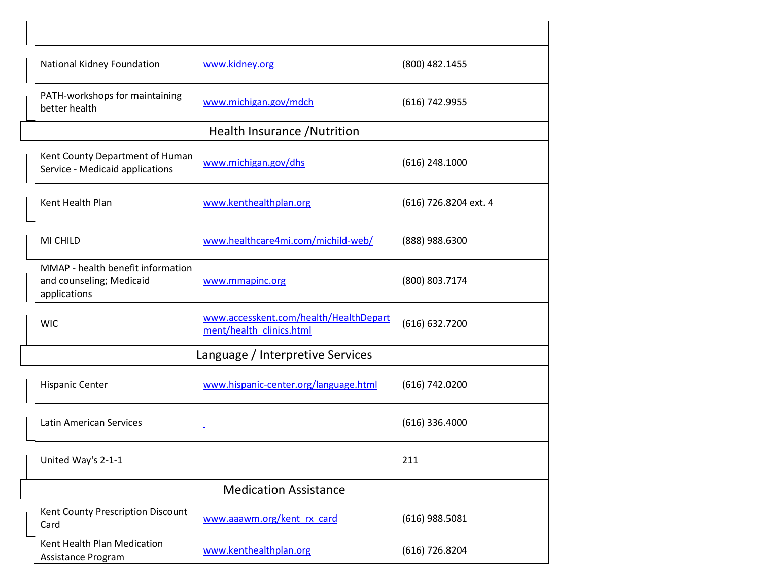| National Kidney Foundation                                                    | www.kidney.org                                                     | (800) 482.1455        |
|-------------------------------------------------------------------------------|--------------------------------------------------------------------|-----------------------|
| PATH-workshops for maintaining<br>better health                               | www.michigan.gov/mdch                                              | (616) 742.9955        |
|                                                                               | Health Insurance / Nutrition                                       |                       |
| Kent County Department of Human<br>Service - Medicaid applications            | www.michigan.gov/dhs                                               | $(616)$ 248.1000      |
| Kent Health Plan                                                              | www.kenthealthplan.org                                             | (616) 726.8204 ext. 4 |
| MI CHILD                                                                      | www.healthcare4mi.com/michild-web/                                 | (888) 988.6300        |
| MMAP - health benefit information<br>and counseling; Medicaid<br>applications | www.mmapinc.org                                                    | (800) 803.7174        |
| <b>WIC</b>                                                                    | www.accesskent.com/health/HealthDepart<br>ment/health clinics.html | (616) 632.7200        |
|                                                                               | Language / Interpretive Services                                   |                       |
| <b>Hispanic Center</b>                                                        | www.hispanic-center.org/language.html                              | (616) 742.0200        |
| <b>Latin American Services</b>                                                |                                                                    | $(616)$ 336.4000      |
| United Way's 2-1-1                                                            | Ξ                                                                  | 211                   |
|                                                                               | <b>Medication Assistance</b>                                       |                       |
| Kent County Prescription Discount<br>Card                                     | www.aaawm.org/kent rx card                                         | $(616)$ 988.5081      |
| Kent Health Plan Medication<br>Assistance Program                             | www.kenthealthplan.org                                             | $(616)$ 726.8204      |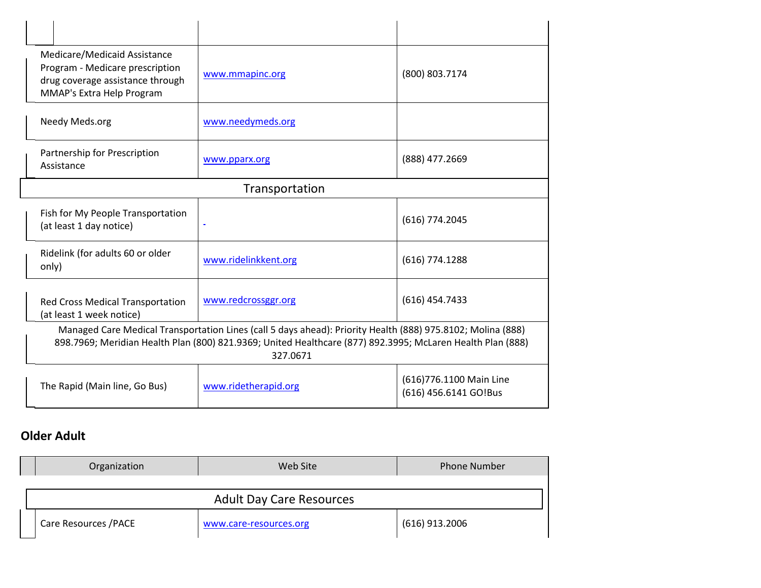| Medicare/Medicaid Assistance<br>Program - Medicare prescription<br>drug coverage assistance through<br>MMAP's Extra Help Program | www.mmapinc.org                                                                                                                                                                                                                       | (800) 803.7174                                   |
|----------------------------------------------------------------------------------------------------------------------------------|---------------------------------------------------------------------------------------------------------------------------------------------------------------------------------------------------------------------------------------|--------------------------------------------------|
| Needy Meds.org                                                                                                                   | www.needymeds.org                                                                                                                                                                                                                     |                                                  |
| Partnership for Prescription<br>Assistance                                                                                       | www.pparx.org                                                                                                                                                                                                                         | (888) 477.2669                                   |
|                                                                                                                                  | Transportation                                                                                                                                                                                                                        |                                                  |
| Fish for My People Transportation<br>(at least 1 day notice)                                                                     |                                                                                                                                                                                                                                       | $(616)$ 774.2045                                 |
| Ridelink (for adults 60 or older<br>only)                                                                                        | www.ridelinkkent.org                                                                                                                                                                                                                  | $(616)$ 774.1288                                 |
| <b>Red Cross Medical Transportation</b><br>(at least 1 week notice)                                                              | www.redcrossggr.org                                                                                                                                                                                                                   | $(616)$ 454.7433                                 |
|                                                                                                                                  | Managed Care Medical Transportation Lines (call 5 days ahead): Priority Health (888) 975.8102; Molina (888)<br>898.7969; Meridian Health Plan (800) 821.9369; United Healthcare (877) 892.3995; McLaren Health Plan (888)<br>327.0671 |                                                  |
| The Rapid (Main line, Go Bus)                                                                                                    | www.ridetherapid.org                                                                                                                                                                                                                  | (616)776.1100 Main Line<br>(616) 456.6141 GO!Bus |

# **Older Adult**

| Organization                    | Web Site               | <b>Phone Number</b> |
|---------------------------------|------------------------|---------------------|
|                                 |                        |                     |
| <b>Adult Day Care Resources</b> |                        |                     |
| Care Resources / PACE           | www.care-resources.org | $(616)$ 913.2006    |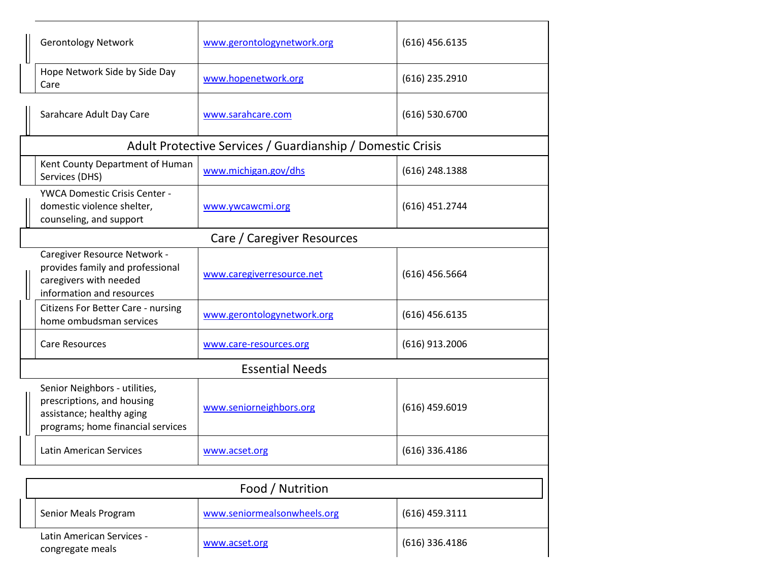| <b>Gerontology Network</b>                                                                                                    | www.gerontologynetwork.org                                 | $(616)$ 456.6135 |
|-------------------------------------------------------------------------------------------------------------------------------|------------------------------------------------------------|------------------|
| Hope Network Side by Side Day<br>Care                                                                                         | www.hopenetwork.org                                        | $(616)$ 235.2910 |
| Sarahcare Adult Day Care                                                                                                      | www.sarahcare.com                                          | $(616)$ 530.6700 |
|                                                                                                                               | Adult Protective Services / Guardianship / Domestic Crisis |                  |
| Kent County Department of Human<br>Services (DHS)                                                                             | www.michigan.gov/dhs                                       | $(616)$ 248.1388 |
| <b>YWCA Domestic Crisis Center -</b><br>domestic violence shelter,<br>counseling, and support                                 | www.ywcawcmi.org                                           | $(616)$ 451.2744 |
|                                                                                                                               | Care / Caregiver Resources                                 |                  |
| Caregiver Resource Network -<br>provides family and professional<br>caregivers with needed<br>information and resources       | www.caregiverresource.net                                  | $(616)$ 456.5664 |
| Citizens For Better Care - nursing<br>home ombudsman services                                                                 | www.gerontologynetwork.org                                 | $(616)$ 456.6135 |
| <b>Care Resources</b>                                                                                                         | www.care-resources.org                                     | $(616)$ 913.2006 |
|                                                                                                                               | <b>Essential Needs</b>                                     |                  |
| Senior Neighbors - utilities,<br>prescriptions, and housing<br>assistance; healthy aging<br>programs; home financial services | www.seniorneighbors.org                                    | $(616)$ 459.6019 |
| Latin American Services                                                                                                       | www.acset.org                                              | $(616)$ 336.4186 |
|                                                                                                                               |                                                            |                  |
|                                                                                                                               | Food / Nutrition                                           |                  |
| Senior Meals Program                                                                                                          | www.seniormealsonwheels.org                                | $(616)$ 459.3111 |
| Latin American Services -<br>congregate meals                                                                                 | www.acset.org                                              | $(616)$ 336.4186 |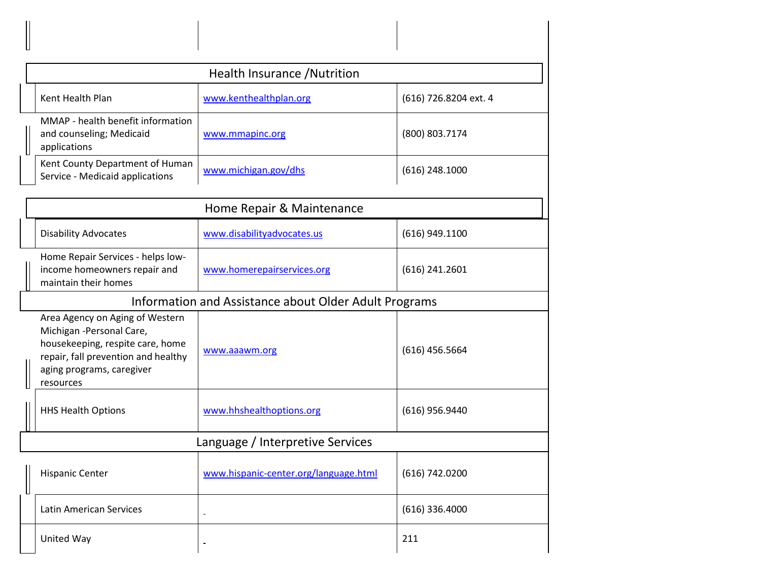|                                                                                                                                                                                   | Health Insurance / Nutrition                          |                       |  |
|-----------------------------------------------------------------------------------------------------------------------------------------------------------------------------------|-------------------------------------------------------|-----------------------|--|
| Kent Health Plan                                                                                                                                                                  | www.kenthealthplan.org                                | (616) 726.8204 ext. 4 |  |
| MMAP - health benefit information<br>and counseling; Medicaid<br>applications                                                                                                     | www.mmapinc.org                                       | (800) 803.7174        |  |
| Kent County Department of Human<br>Service - Medicaid applications                                                                                                                | www.michigan.gov/dhs                                  | $(616)$ 248.1000      |  |
|                                                                                                                                                                                   | Home Repair & Maintenance                             |                       |  |
| <b>Disability Advocates</b>                                                                                                                                                       | www.disabilityadvocates.us                            | $(616)$ 949.1100      |  |
| Home Repair Services - helps low-<br>income homeowners repair and<br>maintain their homes                                                                                         | www.homerepairservices.org                            | $(616)$ 241.2601      |  |
|                                                                                                                                                                                   | Information and Assistance about Older Adult Programs |                       |  |
| Area Agency on Aging of Western<br>Michigan - Personal Care,<br>housekeeping, respite care, home<br>repair, fall prevention and healthy<br>aging programs, caregiver<br>resources | www.aaawm.org                                         | $(616)$ 456.5664      |  |
| <b>HHS Health Options</b>                                                                                                                                                         | www.hhshealthoptions.org                              | (616) 956.9440        |  |
|                                                                                                                                                                                   | Language / Interpretive Services                      |                       |  |
| <b>Hispanic Center</b>                                                                                                                                                            | www.hispanic-center.org/language.html                 | (616) 742.0200        |  |
| <b>Latin American Services</b>                                                                                                                                                    | $\blacksquare$                                        | $(616)$ 336.4000      |  |
| United Way                                                                                                                                                                        |                                                       | 211                   |  |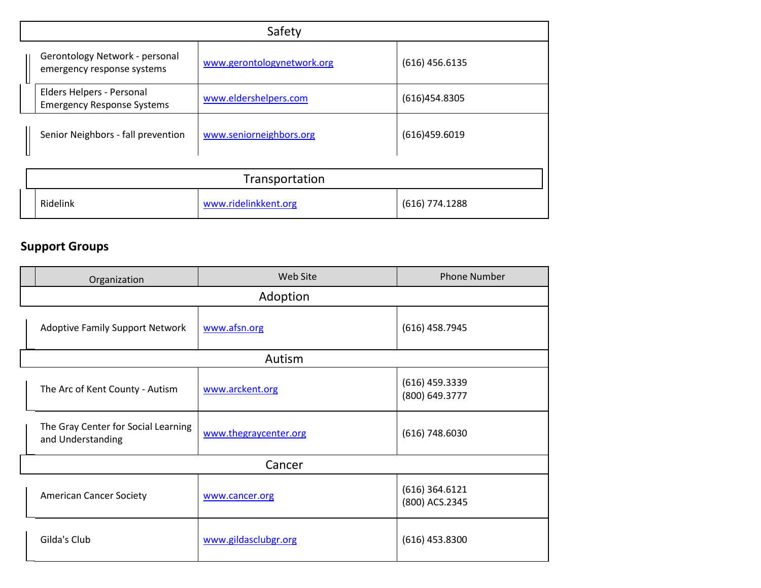| Safety                                                         |                            |                  |
|----------------------------------------------------------------|----------------------------|------------------|
| Gerontology Network - personal<br>emergency response systems   | www.gerontologynetwork.org | $(616)$ 456.6135 |
| Elders Helpers - Personal<br><b>Emergency Response Systems</b> | www.eldershelpers.com      | (616)454.8305    |
| Senior Neighbors - fall prevention                             | www.seniorneighbors.org    | (616)459.6019    |
| Transportation                                                 |                            |                  |
| Ridelink                                                       | www.ridelinkkent.org       | $(616)$ 774.1288 |

# **Support Groups**

| Organization                                             | Web Site              | <b>Phone Number</b>                |
|----------------------------------------------------------|-----------------------|------------------------------------|
|                                                          | Adoption              |                                    |
| <b>Adoptive Family Support Network</b>                   | www.afsn.org          | $(616)$ 458.7945                   |
|                                                          | Autism                |                                    |
| The Arc of Kent County - Autism                          | www.arckent.org       | (616) 459.3339<br>(800) 649.3777   |
| The Gray Center for Social Learning<br>and Understanding | www.thegraycenter.org | $(616)$ 748.6030                   |
|                                                          | Cancer                |                                    |
| <b>American Cancer Society</b>                           | www.cancer.org        | $(616)$ 364.6121<br>(800) ACS.2345 |
| Gilda's Club                                             | www.gildasclubgr.org  | $(616)$ 453.8300                   |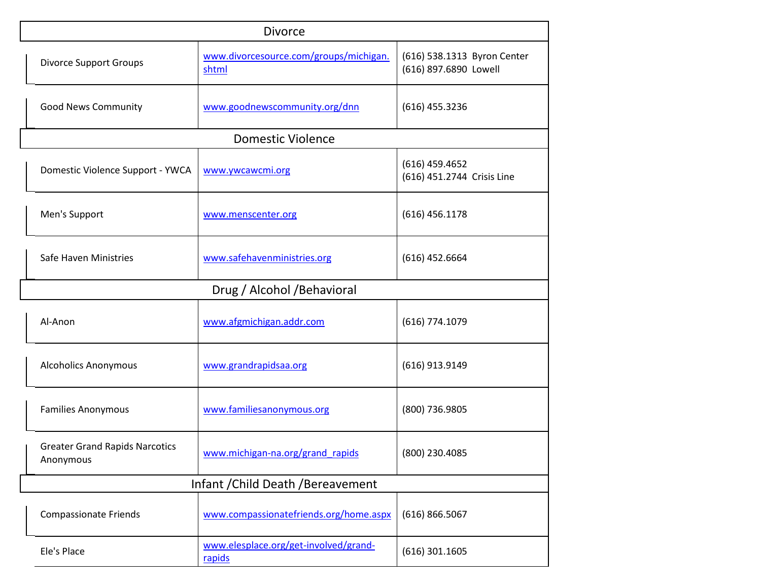| <b>Divorce</b>                                     |                                  |                                                 |                                                      |
|----------------------------------------------------|----------------------------------|-------------------------------------------------|------------------------------------------------------|
| <b>Divorce Support Groups</b>                      |                                  | www.divorcesource.com/groups/michigan.<br>shtml | (616) 538.1313 Byron Center<br>(616) 897.6890 Lowell |
| <b>Good News Community</b>                         |                                  | www.goodnewscommunity.org/dnn                   | $(616)$ 455.3236                                     |
|                                                    |                                  | <b>Domestic Violence</b>                        |                                                      |
|                                                    | Domestic Violence Support - YWCA | www.ywcawcmi.org                                | $(616)$ 459.4652<br>(616) 451.2744 Crisis Line       |
| Men's Support                                      |                                  | www.menscenter.org                              | $(616)$ 456.1178                                     |
| Safe Haven Ministries                              |                                  | www.safehavenministries.org                     | $(616)$ 452.6664                                     |
|                                                    |                                  | Drug / Alcohol / Behavioral                     |                                                      |
| Al-Anon                                            |                                  | www.afgmichigan.addr.com                        | (616) 774.1079                                       |
| <b>Alcoholics Anonymous</b>                        |                                  | www.grandrapidsaa.org                           | (616) 913.9149                                       |
| <b>Families Anonymous</b>                          |                                  | www.familiesanonymous.org                       | (800) 736.9805                                       |
| <b>Greater Grand Rapids Narcotics</b><br>Anonymous |                                  | www.michigan-na.org/grand_rapids                | (800) 230.4085                                       |
| Infant / Child Death / Bereavement                 |                                  |                                                 |                                                      |
| <b>Compassionate Friends</b>                       |                                  | www.compassionatefriends.org/home.aspx          | (616) 866.5067                                       |
| Ele's Place                                        |                                  | www.elesplace.org/get-involved/grand-<br>rapids | $(616)$ 301.1605                                     |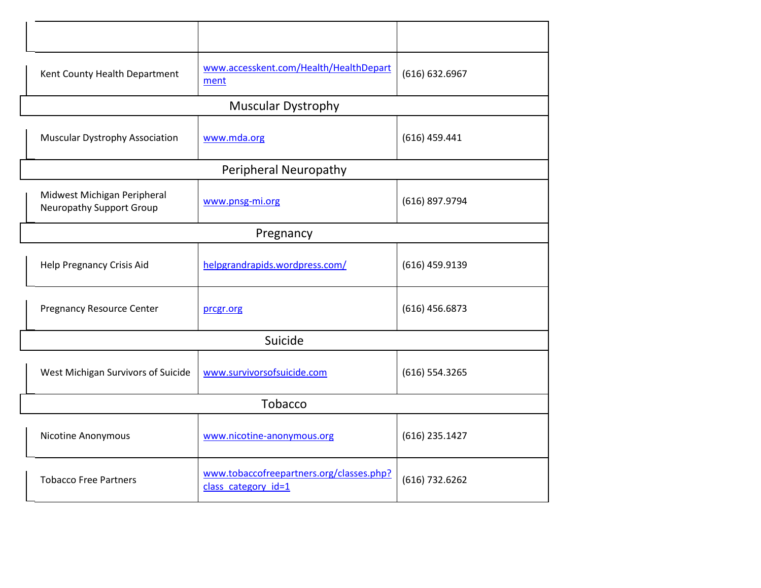| Kent County Health Department                           | www.accesskent.com/Health/HealthDepart<br>ment                  | (616) 632.6967   |
|---------------------------------------------------------|-----------------------------------------------------------------|------------------|
|                                                         | <b>Muscular Dystrophy</b>                                       |                  |
| Muscular Dystrophy Association                          | www.mda.org                                                     | $(616)$ 459.441  |
|                                                         | Peripheral Neuropathy                                           |                  |
| Midwest Michigan Peripheral<br>Neuropathy Support Group | www.pnsg-mi.org                                                 | (616) 897.9794   |
|                                                         | Pregnancy                                                       |                  |
| Help Pregnancy Crisis Aid                               | helpgrandrapids.wordpress.com/                                  | $(616)$ 459.9139 |
| <b>Pregnancy Resource Center</b>                        | prcgr.org                                                       | $(616)$ 456.6873 |
|                                                         | Suicide                                                         |                  |
| West Michigan Survivors of Suicide                      | www.survivorsofsuicide.com                                      | (616) 554.3265   |
| Tobacco                                                 |                                                                 |                  |
| Nicotine Anonymous                                      | www.nicotine-anonymous.org                                      | $(616)$ 235.1427 |
| <b>Tobacco Free Partners</b>                            | www.tobaccofreepartners.org/classes.php?<br>class category id=1 | (616) 732.6262   |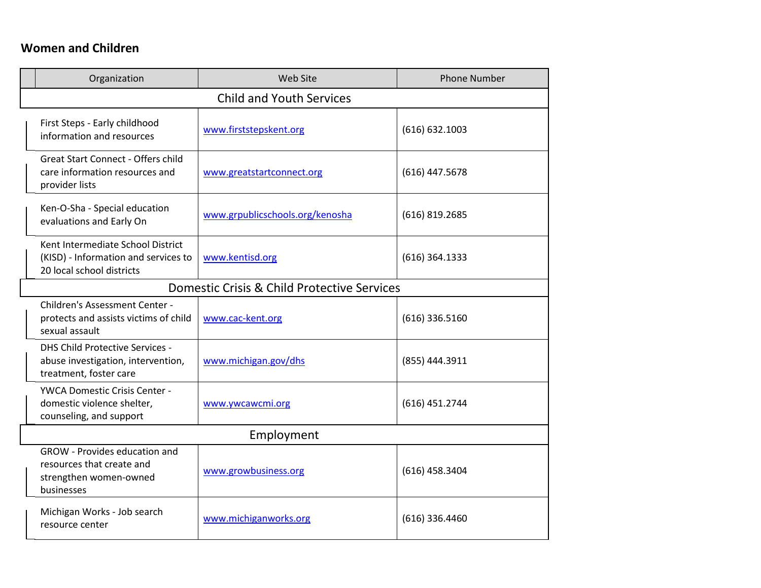## **Women and Children**

| Organization                                                                                              | Web Site                                    | <b>Phone Number</b> |  |  |
|-----------------------------------------------------------------------------------------------------------|---------------------------------------------|---------------------|--|--|
| <b>Child and Youth Services</b>                                                                           |                                             |                     |  |  |
| First Steps - Early childhood<br>information and resources                                                | www.firststepskent.org                      | (616) 632.1003      |  |  |
| <b>Great Start Connect - Offers child</b><br>care information resources and<br>provider lists             | www.greatstartconnect.org                   | (616) 447.5678      |  |  |
| Ken-O-Sha - Special education<br>evaluations and Early On                                                 | www.grpublicschools.org/kenosha             | $(616)$ 819.2685    |  |  |
| Kent Intermediate School District<br>(KISD) - Information and services to<br>20 local school districts    | www.kentisd.org                             | (616) 364.1333      |  |  |
|                                                                                                           | Domestic Crisis & Child Protective Services |                     |  |  |
| Children's Assessment Center -<br>protects and assists victims of child<br>sexual assault                 | www.cac-kent.org                            | $(616)$ 336.5160    |  |  |
| <b>DHS Child Protective Services -</b><br>abuse investigation, intervention,<br>treatment, foster care    | www.michigan.gov/dhs                        | (855) 444.3911      |  |  |
| YWCA Domestic Crisis Center -<br>domestic violence shelter,<br>counseling, and support                    | www.ywcawcmi.org                            | (616) 451.2744      |  |  |
| Employment                                                                                                |                                             |                     |  |  |
| <b>GROW</b> - Provides education and<br>resources that create and<br>strengthen women-owned<br>businesses | www.growbusiness.org                        | $(616)$ 458.3404    |  |  |
| Michigan Works - Job search<br>resource center                                                            | www.michiganworks.org                       | $(616)$ 336.4460    |  |  |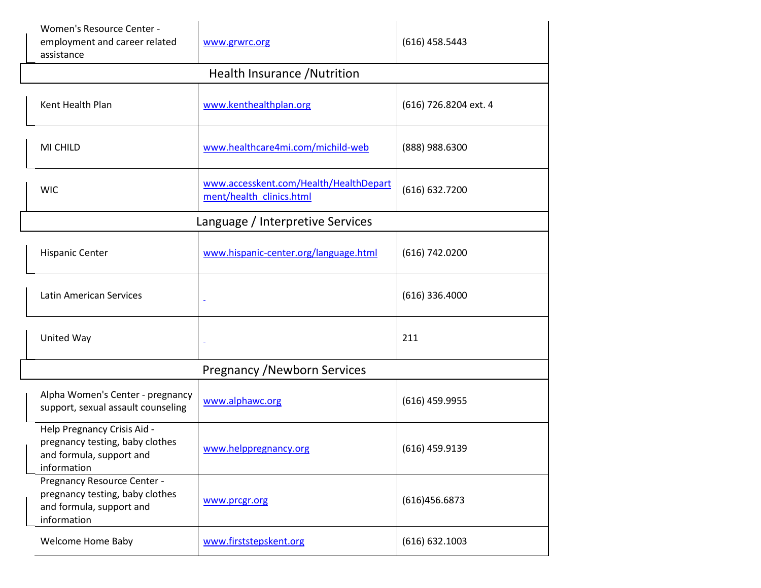| Women's Resource Center -<br>employment and career related<br>assistance                                  | www.grwrc.org                                                      | $(616)$ 458.5443      |
|-----------------------------------------------------------------------------------------------------------|--------------------------------------------------------------------|-----------------------|
|                                                                                                           | Health Insurance / Nutrition                                       |                       |
| Kent Health Plan                                                                                          | www.kenthealthplan.org                                             | (616) 726.8204 ext. 4 |
| MI CHILD                                                                                                  | www.healthcare4mi.com/michild-web                                  | (888) 988.6300        |
| <b>WIC</b>                                                                                                | www.accesskent.com/Health/HealthDepart<br>ment/health clinics.html | (616) 632.7200        |
|                                                                                                           | Language / Interpretive Services                                   |                       |
| <b>Hispanic Center</b>                                                                                    | www.hispanic-center.org/language.html                              | (616) 742.0200        |
| <b>Latin American Services</b>                                                                            |                                                                    | (616) 336.4000        |
| United Way                                                                                                |                                                                    | 211                   |
|                                                                                                           | <b>Pregnancy / Newborn Services</b>                                |                       |
| Alpha Women's Center - pregnancy<br>support, sexual assault counseling                                    | www.alphawc.org                                                    | $(616)$ 459.9955      |
| Help Pregnancy Crisis Aid -<br>pregnancy testing, baby clothes<br>and formula, support and<br>information | www.helppregnancy.org                                              | $(616)$ 459.9139      |
| Pregnancy Resource Center -<br>pregnancy testing, baby clothes<br>and formula, support and<br>information | www.prcgr.org                                                      | (616)456.6873         |
| Welcome Home Baby                                                                                         | www.firststepskent.org                                             | (616) 632.1003        |